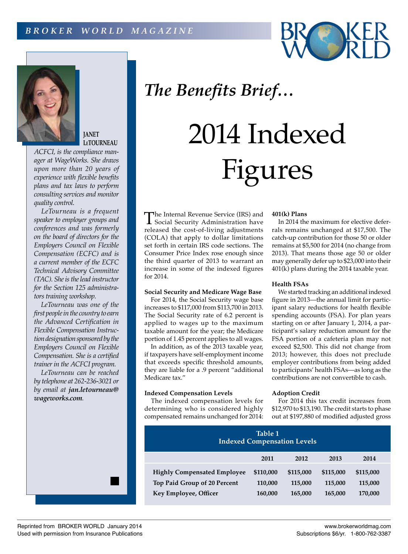



**JANET LeTOURNEAU**

*ACFCI, is the compliance manager at WageWorks. She draws upon more than 20 years of experience with flexible benefits plans and tax laws to perform consulting services and monitor quality control.*

*LeTourneau is a frequent speaker to employer groups and conferences and was formerly on the board of directors for the Employers Council on Flexible Compensation (ECFC) and is a current member of the ECFC Technical Advisory Committee (TAC). She is the lead instructor for the Section 125 administrators training workshop.*

*LeTourneau was one of the first people in the country to earn the Advanced Certification in Flexible Compensation Instruction designation sponsored by the Employers Council on Flexible Compensation. She is a certified trainer in the ACFCI program.*

*LeTourneau can be reached by telephone at 262-236-3021 or by email at jan.letourneau@ wageworks.com.*

## *The Benefits Brief…*

# 2014 Indexed Figures

The Internal Revenue Service (IRS) and<br>Social Security Administration have<br>makes and the sect of living a diverse rate released the cost-of-living adjustments (COLA) that apply to dollar limitations set forth in certain IRS code sections. The Consumer Price Index rose enough since the third quarter of 2013 to warrant an increase in some of the indexed figures for 2014.

#### **Social Security and Medicare Wage Base**

For 2014, the Social Security wage base increases to \$117,000 from \$113,700 in 2013. The Social Security rate of 6.2 percent is applied to wages up to the maximum taxable amount for the year; the Medicare portion of 1.45 percent applies to all wages.

In addition, as of the 2013 taxable year, if taxpayers have self-employment income that exceeds specific threshold amounts, they are liable for a .9 percent "additional Medicare tax."

#### **Indexed Compensation Levels**

The indexed compensation levels for determining who is considered highly compensated remains unchanged for 2014:

#### **401(k) Plans**

In 2014 the maximum for elective deferrals remains unchanged at \$17,500. The catch-up contribution for those 50 or older remains at \$5,500 for 2014 (no change from 2013). That means those age 50 or older may generally defer up to \$23,000 into their 401(k) plans during the 2014 taxable year.

### **Health FSAs**

We started tracking an additional indexed figure in 2013—the annual limit for participant salary reductions for health flexible spending accounts (FSA). For plan years starting on or after January 1, 2014, a participant's salary reduction amount for the FSA portion of a cafeteria plan may not exceed \$2,500. This did not change from 2013; however, this does not preclude employer contributions from being added to participants' health FSAs—as long as the contributions are not convertible to cash.

#### **Adoption Credit**

For 2014 this tax credit increases from \$12,970 to \$13,190. The credit starts to phase out at \$197,880 of modified adjusted gross

| Table 1<br><b>Indexed Compensation Levels</b>                      |                      |                      |                      |                      |
|--------------------------------------------------------------------|----------------------|----------------------|----------------------|----------------------|
|                                                                    | 2011                 | 2012                 | 2013                 | 2014                 |
| <b>Highly Compensated Employee</b><br>Top Paid Group of 20 Percent | \$110,000<br>110,000 | \$115,000<br>115,000 | \$115,000<br>115,000 | \$115,000<br>115,000 |
| Key Employee, Officer                                              | 160,000              | 165,000              | 165,000              | 170,000              |